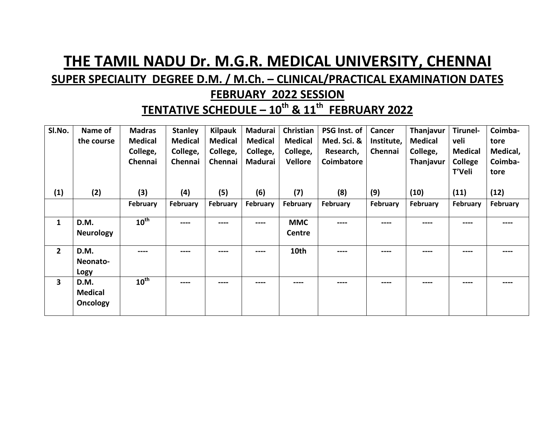## **THE TAMIL NADU Dr. M.G.R. MEDICAL UNIVERSITY, CHENNAI**

## **SUPER SPECIALITY DEGREE D.M. / M.Ch. – CLINICAL/PRACTICAL EXAMINATION DATES**

## **FEBRUARY 2022 SESSION**

**TENTATIVE SCHEDULE – 10th & 11th FEBRUARY 2022**

| SI.No.                  | Name of          | <b>Madras</b>    | <b>Stanley</b> | <b>Kilpauk</b> | Madurai        | Christian      | PSG Inst. of | Cancer     | Thanjavur                                                                                                                                                                                                                                                                                                                                                                                                                                                                  | Tirunel-       | Coimba-  |
|-------------------------|------------------|------------------|----------------|----------------|----------------|----------------|--------------|------------|----------------------------------------------------------------------------------------------------------------------------------------------------------------------------------------------------------------------------------------------------------------------------------------------------------------------------------------------------------------------------------------------------------------------------------------------------------------------------|----------------|----------|
|                         | the course       | <b>Medical</b>   | <b>Medical</b> | <b>Medical</b> | <b>Medical</b> | <b>Medical</b> | Med. Sci. &  | Institute, | <b>Medical</b>                                                                                                                                                                                                                                                                                                                                                                                                                                                             | veli           | tore     |
|                         |                  | College,         | College,       | College,       | College,       | College,       | Research,    | Chennai    | College,                                                                                                                                                                                                                                                                                                                                                                                                                                                                   | Medical        | Medical, |
|                         |                  | Chennai          | Chennai        | Chennai        | Madurai        | <b>Vellore</b> | Coimbatore   |            | Thanjavur                                                                                                                                                                                                                                                                                                                                                                                                                                                                  | <b>College</b> | Coimba-  |
|                         |                  |                  |                |                |                |                |              |            |                                                                                                                                                                                                                                                                                                                                                                                                                                                                            | T'Veli         | tore     |
|                         |                  |                  |                |                |                |                |              |            |                                                                                                                                                                                                                                                                                                                                                                                                                                                                            |                |          |
| (1)                     | (2)              | (3)              | (4)            | (5)            | (6)            | (7)            | (8)          | (9)        | (10)                                                                                                                                                                                                                                                                                                                                                                                                                                                                       | (11)           | (12)     |
|                         |                  | February         | February       | February       | February       | February       | February     | February   | February                                                                                                                                                                                                                                                                                                                                                                                                                                                                   | February       | February |
| $\mathbf{1}$            | D.M.             | $10^{\text{th}}$ | ----           | ----           | ----           | <b>MMC</b>     | ----         | ----       |                                                                                                                                                                                                                                                                                                                                                                                                                                                                            | ----           |          |
|                         | <b>Neurology</b> |                  |                |                |                | Centre         |              |            |                                                                                                                                                                                                                                                                                                                                                                                                                                                                            |                |          |
| $\mathbf{2}$            | D.M.             | ----             | ----           | ----           | ----           | 10th           | ----         | ----       | $\frac{1}{2} \left( \frac{1}{2} \right) \left( \frac{1}{2} \right) \left( \frac{1}{2} \right) \left( \frac{1}{2} \right) \left( \frac{1}{2} \right) \left( \frac{1}{2} \right) \left( \frac{1}{2} \right) \left( \frac{1}{2} \right) \left( \frac{1}{2} \right) \left( \frac{1}{2} \right) \left( \frac{1}{2} \right) \left( \frac{1}{2} \right) \left( \frac{1}{2} \right) \left( \frac{1}{2} \right) \left( \frac{1}{2} \right) \left( \frac{1}{2} \right) \left( \frac$ | ----           | ----     |
|                         | Neonato-         |                  |                |                |                |                |              |            |                                                                                                                                                                                                                                                                                                                                                                                                                                                                            |                |          |
|                         | Logy             |                  |                |                |                |                |              |            |                                                                                                                                                                                                                                                                                                                                                                                                                                                                            |                |          |
| $\overline{\mathbf{3}}$ | D.M.             | $10^{\text{th}}$ | $\cdots$       | ----           | ---            | ----           | ----         | ----       | ----                                                                                                                                                                                                                                                                                                                                                                                                                                                                       | ----           | ----     |
|                         | <b>Medical</b>   |                  |                |                |                |                |              |            |                                                                                                                                                                                                                                                                                                                                                                                                                                                                            |                |          |
|                         | <b>Oncology</b>  |                  |                |                |                |                |              |            |                                                                                                                                                                                                                                                                                                                                                                                                                                                                            |                |          |
|                         |                  |                  |                |                |                |                |              |            |                                                                                                                                                                                                                                                                                                                                                                                                                                                                            |                |          |